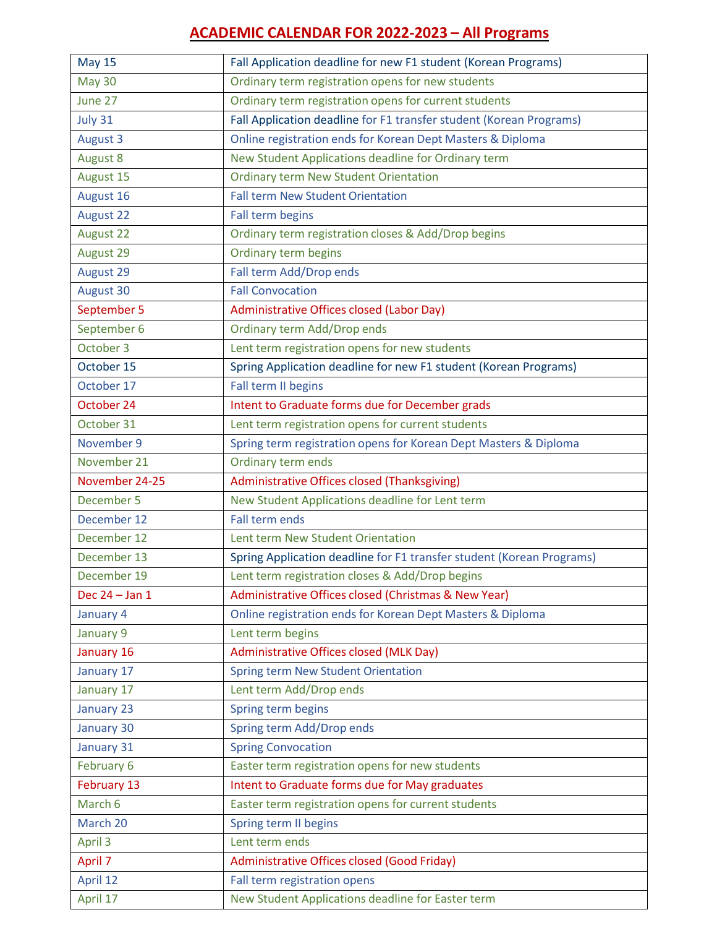## **ACADEMIC CALENDAR FOR 2022-2023 – All Programs**

| <b>May 15</b>    | Fall Application deadline for new F1 student (Korean Programs)        |
|------------------|-----------------------------------------------------------------------|
| <b>May 30</b>    | Ordinary term registration opens for new students                     |
| June 27          | Ordinary term registration opens for current students                 |
| July 31          | Fall Application deadline for F1 transfer student (Korean Programs)   |
| <b>August 3</b>  | Online registration ends for Korean Dept Masters & Diploma            |
| <b>August 8</b>  | New Student Applications deadline for Ordinary term                   |
| August 15        | <b>Ordinary term New Student Orientation</b>                          |
| August 16        | Fall term New Student Orientation                                     |
| <b>August 22</b> | Fall term begins                                                      |
| <b>August 22</b> | Ordinary term registration closes & Add/Drop begins                   |
| August 29        | Ordinary term begins                                                  |
| August 29        | Fall term Add/Drop ends                                               |
| August 30        | <b>Fall Convocation</b>                                               |
| September 5      | Administrative Offices closed (Labor Day)                             |
| September 6      | Ordinary term Add/Drop ends                                           |
| October 3        | Lent term registration opens for new students                         |
| October 15       | Spring Application deadline for new F1 student (Korean Programs)      |
| October 17       | Fall term II begins                                                   |
| October 24       | Intent to Graduate forms due for December grads                       |
| October 31       | Lent term registration opens for current students                     |
| November 9       | Spring term registration opens for Korean Dept Masters & Diploma      |
| November 21      | Ordinary term ends                                                    |
| November 24-25   | Administrative Offices closed (Thanksgiving)                          |
| December 5       | New Student Applications deadline for Lent term                       |
| December 12      | Fall term ends                                                        |
| December 12      | Lent term New Student Orientation                                     |
| December 13      | Spring Application deadline for F1 transfer student (Korean Programs) |
| December 19      | Lent term registration closes & Add/Drop begins                       |
| Dec 24 - Jan 1   | Administrative Offices closed (Christmas & New Year)                  |
| January 4        | Online registration ends for Korean Dept Masters & Diploma            |
| January 9        | Lent term begins                                                      |
| January 16       | Administrative Offices closed (MLK Day)                               |
| January 17       | Spring term New Student Orientation                                   |
| January 17       | Lent term Add/Drop ends                                               |
| January 23       | Spring term begins                                                    |
| January 30       | Spring term Add/Drop ends                                             |
| January 31       | <b>Spring Convocation</b>                                             |
| February 6       | Easter term registration opens for new students                       |
| February 13      | Intent to Graduate forms due for May graduates                        |
| March 6          | Easter term registration opens for current students                   |
| March 20         | Spring term II begins                                                 |
| April 3          | Lent term ends                                                        |
| April 7          | Administrative Offices closed (Good Friday)                           |
| April 12         | Fall term registration opens                                          |
| April 17         | New Student Applications deadline for Easter term                     |